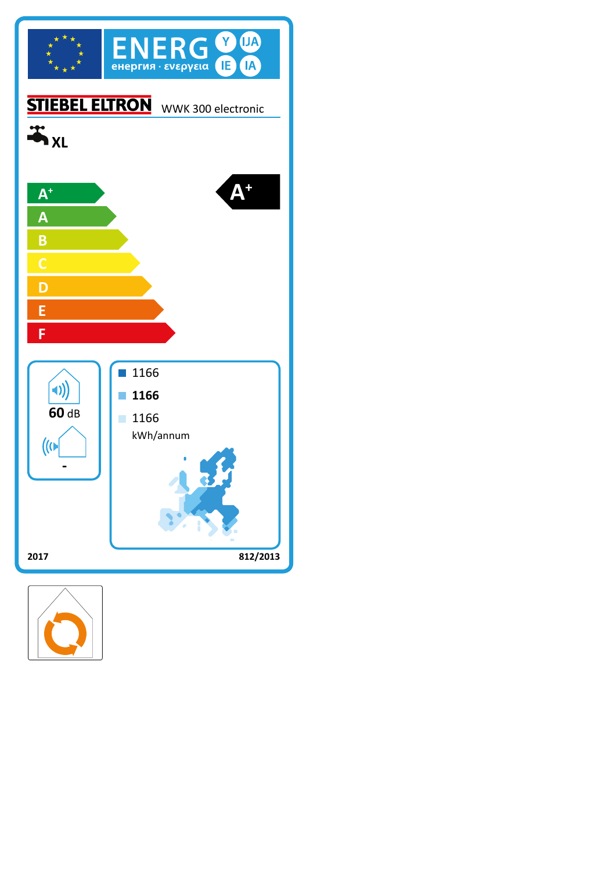